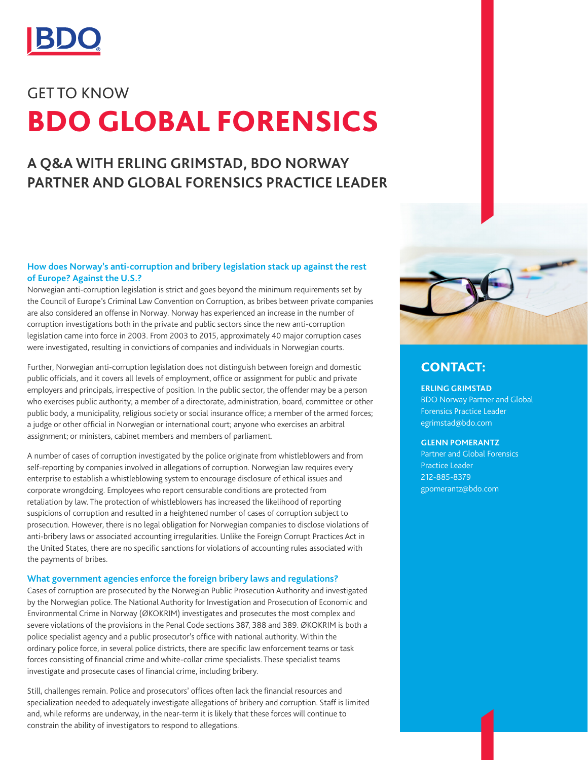

# GET TO KNOW BDO GLOBAL FORENSICS

# **A Q&A WITH ERLING GRIMSTAD, BDO NORWAY PARTNER AND GLOBAL FORENSICS PRACTICE LEADER**

#### **How does Norway's anti-corruption and bribery legislation stack up against the rest of Europe? Against the U.S.?**

Norwegian anti-corruption legislation is strict and goes beyond the minimum requirements set by the Council of Europe's Criminal Law Convention on Corruption, as bribes between private companies are also considered an offense in Norway. Norway has experienced an increase in the number of corruption investigations both in the private and public sectors since the new anti-corruption legislation came into force in 2003. From 2003 to 2015, approximately 40 major corruption cases were investigated, resulting in convictions of companies and individuals in Norwegian courts.

Further, Norwegian anti-corruption legislation does not distinguish between foreign and domestic public officials, and it covers all levels of employment, office or assignment for public and private employers and principals, irrespective of position. In the public sector, the offender may be a person who exercises public authority; a member of a directorate, administration, board, committee or other public body, a municipality, religious society or social insurance office; a member of the armed forces; a judge or other official in Norwegian or international court; anyone who exercises an arbitral assignment; or ministers, cabinet members and members of parliament.

A number of cases of corruption investigated by the police originate from whistleblowers and from self-reporting by companies involved in allegations of corruption. Norwegian law requires every enterprise to establish a whistleblowing system to encourage disclosure of ethical issues and corporate wrongdoing. Employees who report censurable conditions are protected from retaliation by law. The protection of whistleblowers has increased the likelihood of reporting suspicions of corruption and resulted in a heightened number of cases of corruption subject to prosecution. However, there is no legal obligation for Norwegian companies to disclose violations of anti-bribery laws or associated accounting irregularities. Unlike the Foreign Corrupt Practices Act in the United States, there are no specific sanctions for violations of accounting rules associated with the payments of bribes.

#### **What government agencies enforce the foreign bribery laws and regulations?**

Cases of corruption are prosecuted by the Norwegian Public Prosecution Authority and investigated by the Norwegian police. The National Authority for Investigation and Prosecution of Economic and Environmental Crime in Norway (ØKOKRIM) investigates and prosecutes the most complex and severe violations of the provisions in the Penal Code sections 387, 388 and 389. ØKOKRIM is both a police specialist agency and a public prosecutor's office with national authority. Within the ordinary police force, in several police districts, there are specific law enforcement teams or task forces consisting of financial crime and white-collar crime specialists. These specialist teams investigate and prosecute cases of financial crime, including bribery.

Still, challenges remain. Police and prosecutors' offices often lack the financial resources and specialization needed to adequately investigate allegations of bribery and corruption. Staff is limited and, while reforms are underway, in the near-term it is likely that these forces will continue to constrain the ability of investigators to respond to allegations.



### CONTACT:

**ERLING GRIMSTAD** BDO Norway Partner and Global Forensics Practice Leader

## egrimstad@bdo.com **[GLENN POMERANTZ](https://www.bdo.com/our-people/glenn-pomerantz)**

Partner and Global Forensics Practice Leader 212-885-8379 gpomerantz@bdo.com